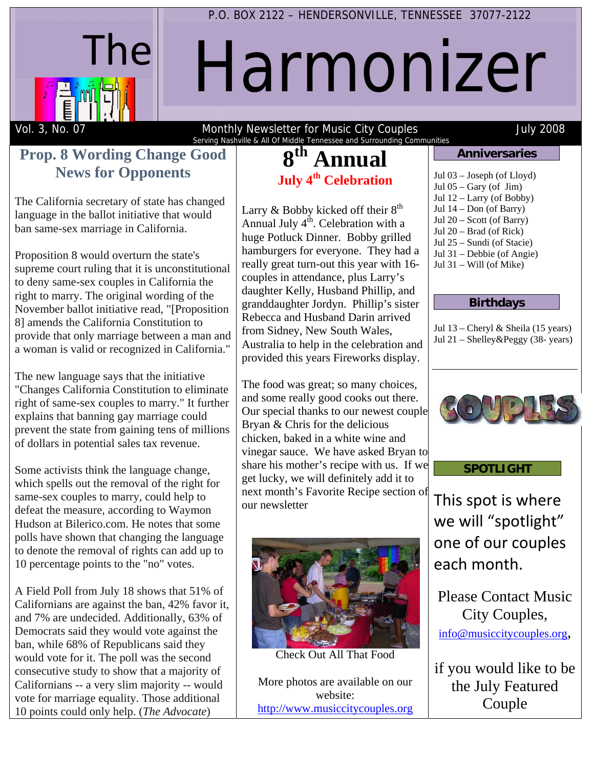

## P.O. BOX 2122 – HENDERSONVILLE, TENNESSEE 37077-2122

# Harmonizer

Vol. 3, No. 07 Monthly Newsletter for Music City Couples July 2008 Serving Nashville & All Of Middle Tennessee and Surrounding Communities<br> **Good** | 8<sup>th</sup> Annual

### **Prop. 8 Wording Change Good News for Opponents**

The California secretary of state has changed language in the ballot initiative that would ban same-sex marriage in California.

Proposition 8 would overturn the state's supreme court ruling that it is unconstitutional to deny same-sex couples in California the right to marry. The original wording of the November ballot initiative read, "[Proposition 8] amends the California Constitution to provide that only marriage between a man and a woman is valid or recognized in California."

The new language says that the initiative "Changes California Constitution to eliminate right of same-sex couples to marry." It further explains that banning gay marriage could prevent the state from gaining tens of millions of dollars in potential sales tax revenue.

Some activists think the language change, which spells out the removal of the right for same-sex couples to marry, could help to defeat the measure, according to Waymon Hudson at Bilerico.com. He notes that some polls have shown that changing the language to denote the removal of rights can add up to 10 percentage points to the "no" votes.

A Field Poll from July 18 shows that 51% of Californians are against the ban, 42% favor it, and 7% are undecided. Additionally, 63% of Democrats said they would vote against the ban, while 68% of Republicans said they would vote for it. The poll was the second consecutive study to show that a majority of Californians -- a very slim majority -- would vote for marriage equality. Those additional 10 points could only help. (*The Advocate*)

## Annual **July 4th Celebration**

Larry  $&$  Bobby kicked off their  $8<sup>th</sup>$ Annual July  $4<sup>th</sup>$ . Celebration with a huge Potluck Dinner. Bobby grilled hamburgers for everyone. They had a really great turn-out this year with 16 couples in attendance, plus Larry's daughter Kelly, Husband Phillip, and granddaughter Jordyn. Phillip's sister Rebecca and Husband Darin arrived from Sidney, New South Wales, Australia to help in the celebration and provided this years Fireworks display.

The food was great; so many choices, and some really good cooks out there. Our special thanks to our newest couple Bryan & Chris for the delicious chicken, baked in a white wine and vinegar sauce. We have asked Bryan to share his mother's recipe with us. If we get lucky, we will definitely add it to next month's Favorite Recipe section of our newsletter



Check Out All That Food

More photos are available on our website: http://www.musiccitycouples.org

#### **Anniversaries**

- Jul 03 Joseph (of Lloyd)
- Jul  $05 -$ Gary (of Jim)
- Jul 12 Larry (of Bobby) Jul 14 – Don (of Barry)
- Jul 20 Scott (of Barry)
- Jul 20 Brad (of Rick)
- Jul 25 Sundi (of Stacie)
- Jul 31 Debbie (of Angie)
- Jul  $31 -$  Will (of Mike)
	-

#### **Birthdays**

Jul 13 – Cheryl & Sheila (15 years) Jul 21 – Shelley&Peggy (38- years)



#### **SPOTLIGHT**

This spot is where we will "spotlight" one of our couples each month.

Please Contact Music City Couples, info@musiccitycouples.org,

if you would like to be the July Featured Couple